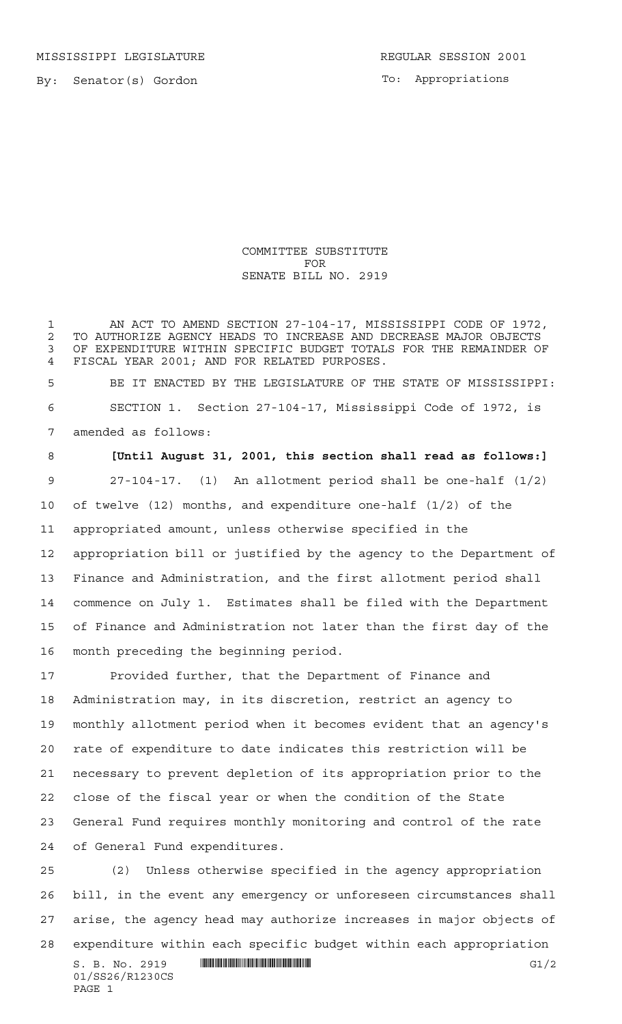MISSISSIPPI LEGISLATURE **REGULAR SESSION 2001** 

By: Senator(s) Gordon

To: Appropriations

COMMITTEE SUBSTITUTE FOR SENATE BILL NO. 2919

1 AN ACT TO AMEND SECTION 27-104-17, MISSISSIPPI CODE OF 1972, 2 TO AUTHORIZE AGENCY HEADS TO INCREASE AND DECREASE MAJOR OBJECTS<br>3 OF EXPENDITURE WITHIN SPECIFIC BUDGET TOTALS FOR THE REMAINDER OI OF EXPENDITURE WITHIN SPECIFIC BUDGET TOTALS FOR THE REMAINDER OF FISCAL YEAR 2001; AND FOR RELATED PURPOSES.

 BE IT ENACTED BY THE LEGISLATURE OF THE STATE OF MISSISSIPPI: SECTION 1. Section 27-104-17, Mississippi Code of 1972, is amended as follows:

 **[Until August 31, 2001, this section shall read as follows:]** 27-104-17. (1) An allotment period shall be one-half (1/2) of twelve (12) months, and expenditure one-half (1/2) of the appropriated amount, unless otherwise specified in the appropriation bill or justified by the agency to the Department of Finance and Administration, and the first allotment period shall commence on July 1. Estimates shall be filed with the Department of Finance and Administration not later than the first day of the month preceding the beginning period.

 Provided further, that the Department of Finance and Administration may, in its discretion, restrict an agency to monthly allotment period when it becomes evident that an agency's rate of expenditure to date indicates this restriction will be necessary to prevent depletion of its appropriation prior to the close of the fiscal year or when the condition of the State General Fund requires monthly monitoring and control of the rate of General Fund expenditures.

 $S. B. No. 2919$   $\blacksquare$   $\blacksquare$   $\blacksquare$   $\blacksquare$   $\blacksquare$   $\blacksquare$   $\blacksquare$   $\blacksquare$   $\blacksquare$   $\blacksquare$   $\blacksquare$   $\blacksquare$   $\blacksquare$   $\blacksquare$   $\blacksquare$   $\blacksquare$   $\blacksquare$   $\blacksquare$   $\blacksquare$   $\blacksquare$   $\blacksquare$   $\blacksquare$   $\blacksquare$   $\blacksquare$   $\blacksquare$   $\blacksquare$   $\blacksquare$   $\blacksquare$   $\blacksquare$   $\blacks$  (2) Unless otherwise specified in the agency appropriation bill, in the event any emergency or unforeseen circumstances shall arise, the agency head may authorize increases in major objects of expenditure within each specific budget within each appropriation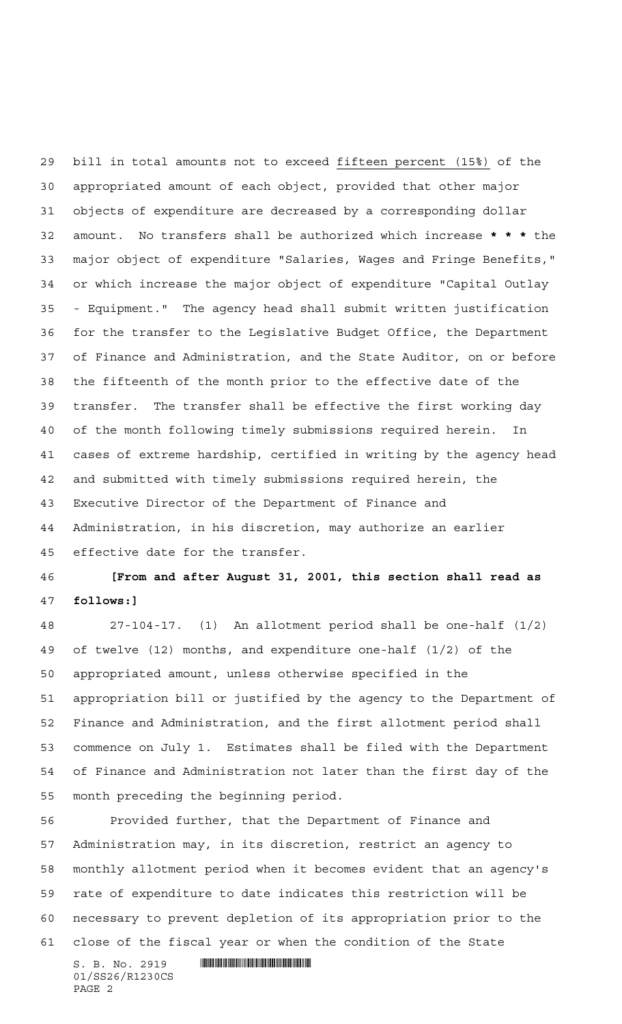bill in total amounts not to exceed fifteen percent (15%) of the appropriated amount of each object, provided that other major objects of expenditure are decreased by a corresponding dollar amount. No transfers shall be authorized which increase **\*\*\*** the major object of expenditure "Salaries, Wages and Fringe Benefits," or which increase the major object of expenditure "Capital Outlay - Equipment." The agency head shall submit written justification for the transfer to the Legislative Budget Office, the Department of Finance and Administration, and the State Auditor, on or before the fifteenth of the month prior to the effective date of the transfer. The transfer shall be effective the first working day of the month following timely submissions required herein. In cases of extreme hardship, certified in writing by the agency head and submitted with timely submissions required herein, the Executive Director of the Department of Finance and Administration, in his discretion, may authorize an earlier effective date for the transfer.

 **[From and after August 31, 2001, this section shall read as follows:]**

 27-104-17. (1) An allotment period shall be one-half (1/2) of twelve (12) months, and expenditure one-half (1/2) of the appropriated amount, unless otherwise specified in the appropriation bill or justified by the agency to the Department of Finance and Administration, and the first allotment period shall commence on July 1. Estimates shall be filed with the Department of Finance and Administration not later than the first day of the month preceding the beginning period.

 Provided further, that the Department of Finance and Administration may, in its discretion, restrict an agency to monthly allotment period when it becomes evident that an agency's rate of expenditure to date indicates this restriction will be necessary to prevent depletion of its appropriation prior to the close of the fiscal year or when the condition of the State

 $S. B. No. 2919$  . Suppose the set of  $S. B. N_O. 2919$ 01/SS26/R1230CS PAGE 2